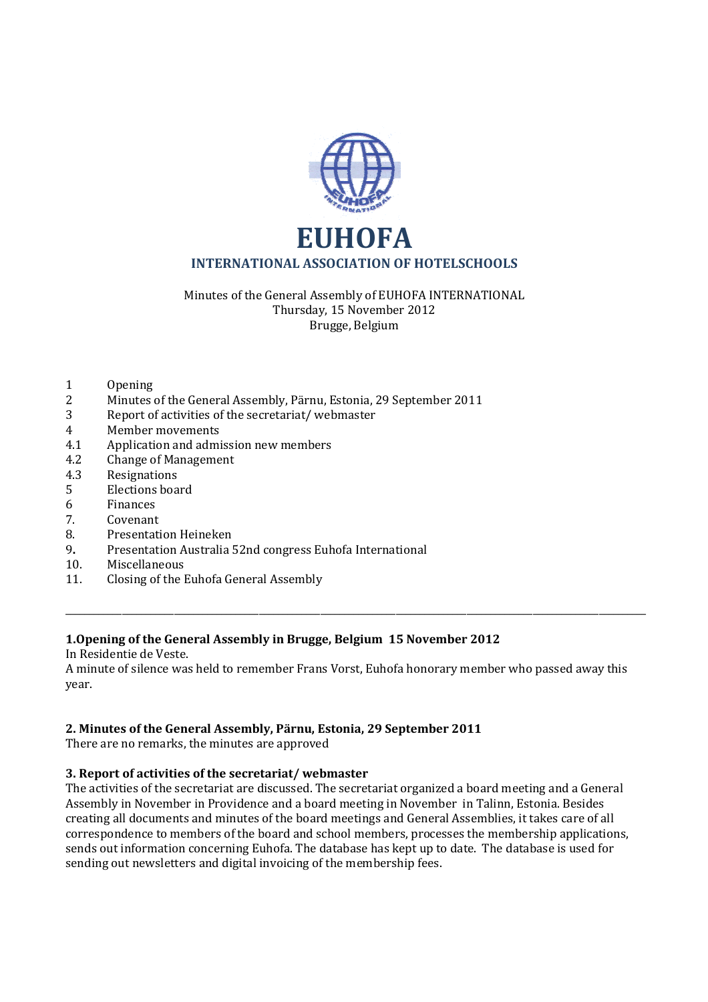

Minutes of the General Assembly of EUHOFA INTERNATIONAL Thursday, 15 November 2012 Brugge, Belgium

- 1 Opening
- 2 Minutes of the General Assembly, Pärnu, Estonia, 29 September 2011
- 3 Report of activities of the secretariat/ webmaster
- 4 Member movements
- 4.1 Application and admission new members
- 4.2 Change of Management
- 4.3 Resignations
- 5 Elections board
- 6 Finances
- 7. Covenant
- 8. Presentation Heineken
- 9**.** Presentation Australia 52nd congress Euhofa International
- 10. Miscellaneous
- 11. Closing of the Euhofa General Assembly

#### **1.Opening of the General Assembly in Brugge, Belgium 15 November 2012**

In Residentie de Veste.

A minute of silence was held to remember Frans Vorst, Euhofa honorary member who passed away this year.

\_\_\_\_\_\_\_\_\_\_\_\_\_\_\_\_\_\_\_\_\_\_\_\_\_\_\_\_\_\_\_\_\_\_\_\_\_\_\_\_\_\_\_\_\_\_\_\_\_\_\_\_\_\_\_\_\_\_\_\_\_\_\_\_\_\_\_\_\_\_\_\_\_\_\_\_\_\_\_\_\_\_\_\_\_\_\_\_\_\_\_\_\_\_\_\_\_\_\_\_\_\_\_\_\_\_\_\_\_\_\_\_\_\_\_\_\_\_\_\_\_\_\_

#### **2. Minutes of the General Assembly, Pärnu, Estonia, 29 September 2011**

There are no remarks, the minutes are approved

### **3. Report of activities of the secretariat/ webmaster**

The activities of the secretariat are discussed. The secretariat organized a board meeting and a General Assembly in November in Providence and a board meeting in November in Talinn, Estonia. Besides creating all documents and minutes of the board meetings and General Assemblies, it takes care of all correspondence to members of the board and school members, processes the membership applications, sends out information concerning Euhofa. The database has kept up to date. The database is used for sending out newsletters and digital invoicing of the membership fees.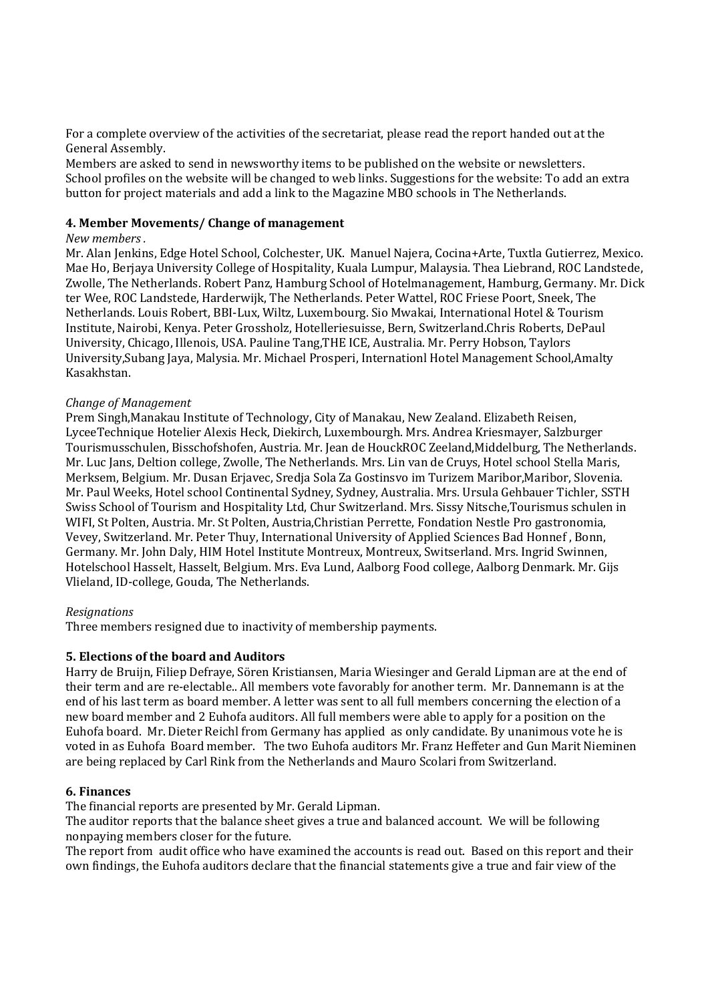For a complete overview of the activities of the secretariat, please read the report handed out at the General Assembly.

Members are asked to send in newsworthy items to be published on the website or newsletters. School profiles on the website will be changed to web links. Suggestions for the website: To add an extra button for project materials and add a link to the Magazine MBO schools in The Netherlands.

### **4. Member Movements/ Change of management**

#### *New members .*

Mr. Alan Jenkins, Edge Hotel School, Colchester, UK. Manuel Najera, Cocina+Arte, Tuxtla Gutierrez, Mexico. Mae Ho, Berjaya University College of Hospitality, Kuala Lumpur, Malaysia. Thea Liebrand, ROC Landstede, Zwolle, The Netherlands. Robert Panz, Hamburg School of Hotelmanagement, Hamburg, Germany. Mr. Dick ter Wee, ROC Landstede, Harderwijk, The Netherlands. Peter Wattel, ROC Friese Poort, Sneek, The Netherlands. Louis Robert, BBI-Lux, Wiltz, Luxembourg. Sio Mwakai, International Hotel & Tourism Institute, Nairobi, Kenya. Peter Grossholz, Hotelleriesuisse, Bern, Switzerland.Chris Roberts, DePaul University, Chicago, Illenois, USA. Pauline Tang,THE ICE, Australia. Mr. Perry Hobson, Taylors University,Subang Jaya, Malysia. Mr. Michael Prosperi, Internationl Hotel Management School,Amalty Kasakhstan.

#### *Change of Management*

Prem Singh,Manakau Institute of Technology, City of Manakau, New Zealand. Elizabeth Reisen, LyceeTechnique Hotelier Alexis Heck, Diekirch, Luxembourgh. Mrs. Andrea Kriesmayer, Salzburger Tourismusschulen, Bisschofshofen, Austria. Mr. Jean de HouckROC Zeeland,Middelburg, The Netherlands. Mr. Luc Jans, Deltion college, Zwolle, The Netherlands. Mrs. Lin van de Cruys, Hotel school Stella Maris, Merksem, Belgium. Mr. Dusan Erjavec, Sredja Sola Za Gostinsvo im Turizem Maribor,Maribor, Slovenia. Mr. Paul Weeks, Hotel school Continental Sydney, Sydney, Australia. Mrs. Ursula Gehbauer Tichler, SSTH Swiss School of Tourism and Hospitality Ltd, Chur Switzerland. Mrs. Sissy Nitsche,Tourismus schulen in WIFI, St Polten, Austria. Mr. St Polten, Austria,Christian Perrette, Fondation Nestle Pro gastronomia, Vevey, Switzerland. Mr. Peter Thuy, International University of Applied Sciences Bad Honnef , Bonn, Germany. Mr. John Daly, HIM Hotel Institute Montreux, Montreux, Switserland. Mrs. Ingrid Swinnen, Hotelschool Hasselt, Hasselt, Belgium. Mrs. Eva Lund, Aalborg Food college, Aalborg Denmark. Mr. Gijs Vlieland, ID-college, Gouda, The Netherlands.

#### *Resignations*

Three members resigned due to inactivity of membership payments.

#### **5. Elections of the board and Auditors**

Harry de Bruijn, Filiep Defraye, Sören Kristiansen, Maria Wiesinger and Gerald Lipman are at the end of their term and are re-electable.. All members vote favorably for another term. Mr. Dannemann is at the end of his last term as board member. A letter was sent to all full members concerning the election of a new board member and 2 Euhofa auditors. All full members were able to apply for a position on the Euhofa board. Mr. Dieter Reichl from Germany has applied as only candidate. By unanimous vote he is voted in as Euhofa Board member. The two Euhofa auditors Mr. Franz Heffeter and Gun Marit Nieminen are being replaced by Carl Rink from the Netherlands and Mauro Scolari from Switzerland.

#### **6. Finances**

The financial reports are presented by Mr. Gerald Lipman.

The auditor reports that the balance sheet gives a true and balanced account. We will be following nonpaying members closer for the future.

The report from audit office who have examined the accounts is read out. Based on this report and their own findings, the Euhofa auditors declare that the financial statements give a true and fair view of the